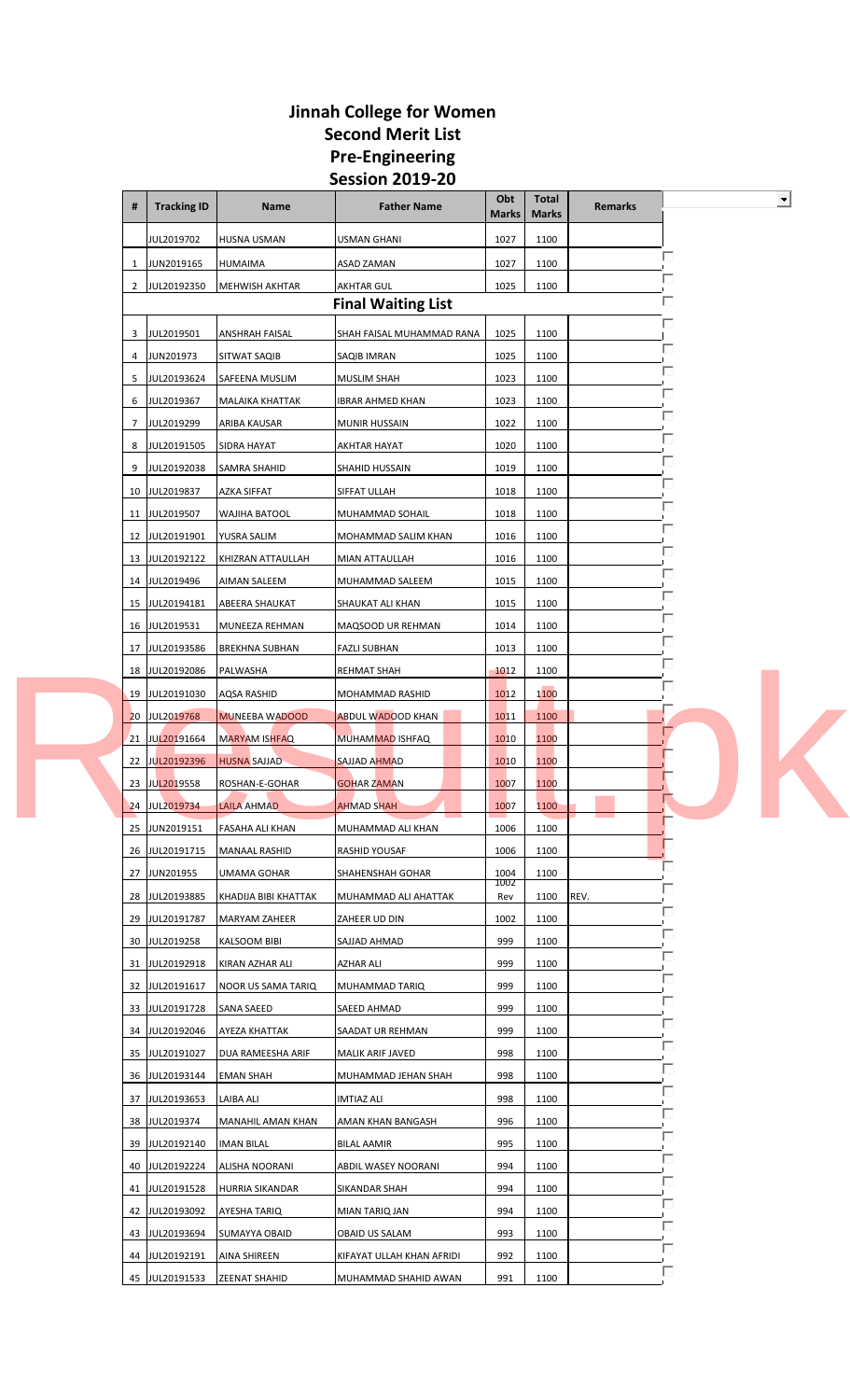|  | #        | <b>Tracking ID</b>               | <b>Name</b>                    | <b>Father Name</b>                          | Obt<br><b>Marks</b> | <b>Total</b><br><b>Marks</b> | <b>Remarks</b> |   | $\overline{\phantom{0}}$ |
|--|----------|----------------------------------|--------------------------------|---------------------------------------------|---------------------|------------------------------|----------------|---|--------------------------|
|  |          | JUL2019702                       | <b>HUSNA USMAN</b>             | USMAN GHANI                                 | 1027                | 1100                         |                |   |                          |
|  | 1        | JUN2019165                       | HUMAIMA                        | ASAD ZAMAN                                  | 1027                | 1100                         |                | п |                          |
|  | 2        | JUL20192350                      | MEHWISH AKHTAR                 | <b>AKHTAR GUL</b>                           | 1025                | 1100                         |                | □ |                          |
|  |          |                                  |                                | <b>Final Waiting List</b>                   |                     |                              |                |   |                          |
|  | 3        | JUL2019501                       | <b>ANSHRAH FAISAL</b>          | SHAH FAISAL MUHAMMAD RANA                   | 1025                | 1100                         |                |   |                          |
|  | 4        | JUN201973                        | SITWAT SAQIB                   | SAQIB IMRAN                                 | 1025                | 1100                         |                |   |                          |
|  | 5        | JUL20193624                      | SAFEENA MUSLIM                 | <b>MUSLIM SHAH</b>                          | 1023                | 1100                         |                |   |                          |
|  | 6        | JUL2019367                       | MALAIKA KHATTAK                | IBRAR AHMED KHAN                            | 1023                | 1100                         |                |   |                          |
|  | 7        | JUL2019299                       | ARIBA KAUSAR                   | <b>MUNIR HUSSAIN</b>                        | 1022                | 1100                         |                |   |                          |
|  | 8        | JUL20191505                      | SIDRA HAYAT                    | AKHTAR HAYAT                                | 1020                | 1100                         |                |   |                          |
|  | 9        | JUL20192038                      | SAMRA SHAHID                   | SHAHID HUSSAIN                              | 1019                | 1100                         |                |   |                          |
|  |          | 10 JUL2019837                    | <b>AZKA SIFFAT</b>             | SIFFAT ULLAH                                | 1018                | 1100                         |                |   |                          |
|  | 11       | JUL2019507                       | WAJIHA BATOOL                  | MUHAMMAD SOHAIL                             | 1018                | 1100                         |                |   |                          |
|  | 12       | JUL20191901                      | YUSRA SALIM                    | MOHAMMAD SALIM KHAN                         | 1016                | 1100                         |                |   |                          |
|  | 13       | JUL20192122                      | KHIZRAN ATTAULLAH              | MIAN ATTAULLAH                              | 1016                | 1100                         |                |   |                          |
|  |          | 14 JUL2019496                    | AIMAN SALEEM                   | MUHAMMAD SALEEM                             | 1015                | 1100                         |                |   |                          |
|  |          | 15 JUL20194181                   | ABEERA SHAUKAT                 | SHAUKAT ALI KHAN                            | 1015                | 1100                         |                |   |                          |
|  | 16       | JUL2019531                       | MUNEEZA REHMAN                 | MAQSOOD UR REHMAN                           | 1014                | 1100                         |                |   |                          |
|  | 17       | JUL20193586                      | <b>BREKHNA SUBHAN</b>          | <b>FAZLI SUBHAN</b>                         | 1013                | 1100                         |                |   |                          |
|  | 18<br>19 | JUL20192086<br>JUL20191030       | PALWASHA<br><b>AQSA RASHID</b> | REHMAT SHAH                                 | 1012<br>1012        | 1100<br>1100                 |                |   |                          |
|  |          | 20 JUL2019768                    | <b>MUNEEBA WADOOD</b>          | MOHAMMAD RASHID<br><b>ABDUL WADOOD KHAN</b> | 1011                | 1100                         |                |   |                          |
|  | 21       | JUL20191664                      | <b>MARYAM ISHFAQ</b>           | <b>MUHAMMAD ISHFAQ</b>                      | 1010                | 1100                         |                |   |                          |
|  | 22       | <b>JUL20192396</b>               | <b>HUSNA SAJJAD</b>            | SAJJAD AHMAD                                | 1010                | 1100                         |                |   |                          |
|  | 23       | JUL2019558                       | ROSHAN-E-GOHAR                 | GOHAR ZAMAN                                 | 1007                | 1100                         |                |   |                          |
|  |          | 24 JUL2019734                    | <b>LAILA AHMAD</b>             | <b>AHMAD SHAH</b>                           | 1007                | 1100                         |                |   |                          |
|  |          | 25 JUN2019151                    | <b>FASAHA ALI KHAN</b>         | MUHAMMAD ALI KHAN                           | 1006                | 1100                         |                |   |                          |
|  | 26       | JUL20191715                      | <b>MANAAL RASHID</b>           | RASHID YOUSAF                               | 1006                | 1100                         |                |   |                          |
|  | 27       | JUN201955                        | UMAMA GOHAR                    | SHAHENSHAH GOHAR                            | 1004<br>1002        | 1100                         |                |   |                          |
|  | 28       | JUL20193885                      | KHADIJA BIBI KHATTAK           | MUHAMMAD ALI AHATTAK                        | Rev                 | 1100                         | REV.           |   |                          |
|  | 29       | JUL20191787                      | MARYAM ZAHEER                  | ZAHEER UD DIN                               | 1002                | 1100                         |                |   |                          |
|  |          | 30 JUL2019258                    | <b>KALSOOM BIBI</b>            | SAJJAD AHMAD                                | 999                 | 1100                         |                |   |                          |
|  | 31       | JUL20192918                      | KIRAN AZHAR ALI                | <b>AZHAR ALI</b>                            | 999                 | 1100                         |                |   |                          |
|  | 32       | JUL20191617                      | <b>NOOR US SAMA TARIQ</b>      | MUHAMMAD TARIQ                              | 999                 | 1100                         |                |   |                          |
|  |          | 33 JUL20191728                   | SANA SAEED                     | SAEED AHMAD                                 | 999                 | 1100                         |                |   |                          |
|  |          | 34 JUL20192046                   | AYEZA KHATTAK                  | SAADAT UR REHMAN                            | 999                 | 1100                         |                |   |                          |
|  |          | 35 JUL20191027                   | DUA RAMEESHA ARIF              | MALIK ARIF JAVED                            | 998                 | 1100                         |                | □ |                          |
|  | 36       | JUL20193144                      | <b>EMAN SHAH</b>               | MUHAMMAD JEHAN SHAH                         | 998                 | 1100                         |                |   |                          |
|  | 37       | JUL20193653                      | LAIBA ALI                      | <b>IMTIAZ ALI</b>                           | 998                 | 1100                         |                |   |                          |
|  |          | 38 JUL2019374                    | MANAHIL AMAN KHAN              | AMAN KHAN BANGASH                           | 996                 | 1100                         |                |   |                          |
|  |          | 39 JUL20192140                   | <b>IMAN BILAL</b>              | BILAL AAMIR                                 | 995                 | 1100                         |                |   |                          |
|  |          | 40 JUL20192224                   | ALISHA NOORANI                 | ABDIL WASEY NOORANI                         | 994                 | 1100                         |                |   |                          |
|  |          | 41 JUL20191528                   | HURRIA SIKANDAR                | SIKANDAR SHAH                               | 994                 | 1100                         |                |   |                          |
|  | 42       | JUL20193092                      | AYESHA TARIQ                   | MIAN TARIQ JAN                              | 994                 | 1100                         |                |   |                          |
|  |          | 43 JUL20193694<br>44 JUL20192191 | SUMAYYA OBAID<br>AINA SHIREEN  | OBAID US SALAM<br>KIFAYAT ULLAH KHAN AFRIDI | 993<br>992          | 1100<br>1100                 |                |   |                          |
|  |          | 45 JUL20191533                   | ZEENAT SHAHID                  | MUHAMMAD SHAHID AWAN                        | 991                 | 1100                         |                |   |                          |
|  |          |                                  |                                |                                             |                     |                              |                |   |                          |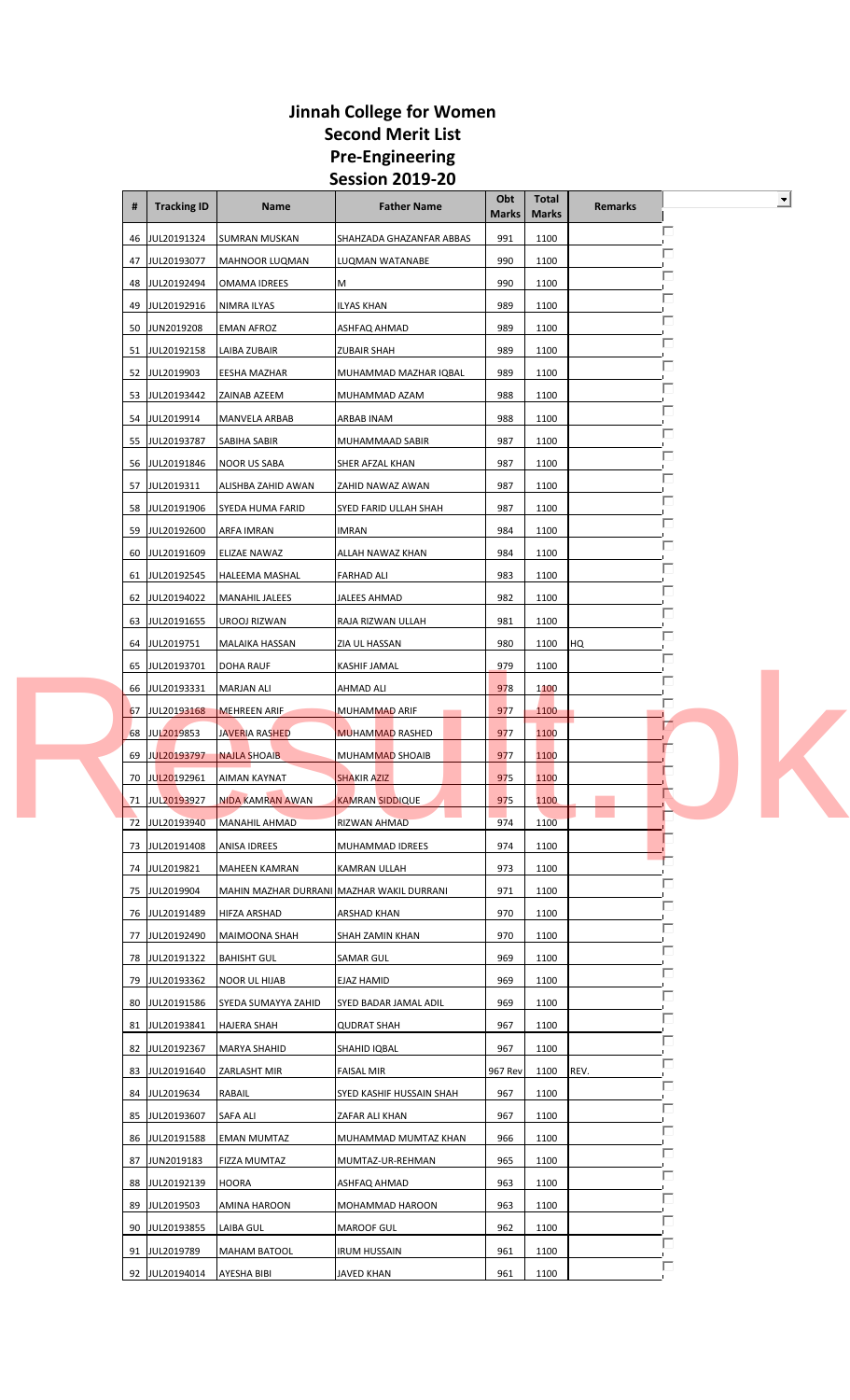| #  | <b>Tracking ID</b> | Name                                      | <b>Father Name</b>       | Obt<br><b>Marks</b> | <b>Total</b><br><b>Marks</b> | <b>Remarks</b> |   | $\blacksquare$ |
|----|--------------------|-------------------------------------------|--------------------------|---------------------|------------------------------|----------------|---|----------------|
| 46 | JUL20191324        | <b>SUMRAN MUSKAN</b>                      | SHAHZADA GHAZANFAR ABBAS | 991                 | 1100                         |                | п |                |
| 47 | JUL20193077        | MAHNOOR LUQMAN                            | LUQMAN WATANABE          | 990                 | 1100                         |                |   |                |
| 48 | JUL20192494        | <b>OMAMA IDREES</b>                       | М                        | 990                 | 1100                         |                |   |                |
| 49 | JUL20192916        | NIMRA ILYAS                               | <b>ILYAS KHAN</b>        | 989                 | 1100                         |                |   |                |
| 50 | JUN2019208         | <b>EMAN AFROZ</b>                         | ASHFAQ AHMAD             | 989                 | 1100                         |                |   |                |
| 51 | JUL20192158        | LAIBA ZUBAIR                              | <b>ZUBAIR SHAH</b>       | 989                 | 1100                         |                |   |                |
| 52 | JUL2019903         | EESHA MAZHAR                              | MUHAMMAD MAZHAR IQBAL    | 989                 | 1100                         |                |   |                |
|    | 53 JUL20193442     | ZAINAB AZEEM                              | MUHAMMAD AZAM            | 988                 | 1100                         |                |   |                |
|    | 54 JUL2019914      | MANVELA ARBAB                             | ARBAB INAM               | 988                 | 1100                         |                |   |                |
| 55 | JUL20193787        | SABIHA SABIR                              | MUHAMMAAD SABIR          | 987                 | 1100                         |                |   |                |
| 56 | JUL20191846        | <b>NOOR US SABA</b>                       | SHER AFZAL KHAN          | 987                 | 1100                         |                |   |                |
| 57 | JUL2019311         | ALISHBA ZAHID AWAN                        | ZAHID NAWAZ AWAN         | 987                 | 1100                         |                | ш |                |
| 58 | JUL20191906        | SYEDA HUMA FARID                          | SYED FARID ULLAH SHAH    | 987                 | 1100                         |                |   |                |
| 59 | JUL20192600        | ARFA IMRAN                                | IMRAN                    | 984                 | 1100                         |                |   |                |
| 60 | JUL20191609        | ELIZAE NAWAZ                              | ALLAH NAWAZ KHAN         | 984                 | 1100                         |                |   |                |
| 61 | JUL20192545        | <b>HALEEMA MASHAL</b>                     | <b>FARHAD ALI</b>        | 983                 | 1100                         |                |   |                |
|    | 62 JUL20194022     | <b>MANAHIL JALEES</b>                     | JALEES AHMAD             | 982                 | 1100                         |                |   |                |
| 63 | JUL20191655        | UROOJ RIZWAN                              | RAJA RIZWAN ULLAH        | 981                 | 1100                         |                |   |                |
|    | 64 JUL2019751      | MALAIKA HASSAN                            | ZIA UL HASSAN            | 980                 | 1100                         | HQ             |   |                |
| 65 | JUL20193701        | <b>DOHA RAUF</b>                          | KASHIF JAMAL             | 979                 | 1100                         |                |   |                |
| 66 | JUL20193331        | <b>MARJAN ALI</b>                         | AHMAD ALI                | 978                 | 1100                         |                |   |                |
| 67 | JUL20193168        | <b>MEHREEN ARIF</b>                       | MUHAMMAD ARIF            | 977                 | 1100                         |                | п |                |
| 68 | JUL2019853         | <b>JAVERIA RASHED</b>                     | <b>MUHAMMAD RASHED</b>   | 977                 | 1100                         |                |   |                |
| 69 | <b>JUL20193797</b> | <b>NAJLA SHOAIB</b>                       | MUHAMMAD SHOAIB          | 977                 | 1100                         |                |   |                |
| 70 | JUL20192961        | AIMAN KAYNAT                              | <b>SHAKIR AZIZ</b>       | 975                 | 1100                         |                |   |                |
| 71 | JUL20193927        | NIDA KAMRAN AWAN                          | KAMRAN SIDDIQUE          | 975                 | 1100                         |                |   |                |
| 72 | JUL20193940        | <b>MANAHIL AHMAD</b>                      | RIZWAN AHMAD             | 974                 | 1100                         |                |   |                |
|    | 73 JUL20191408     | ANISA IDREES                              | MUHAMMAD IDREES          | 974                 | 1100                         |                |   |                |
|    | 74 JUL2019821      | <b>MAHEEN KAMRAN</b>                      | KAMRAN ULLAH             | 973                 | 1100                         |                |   |                |
|    | 75 JUL2019904      | MAHIN MAZHAR DURRANI MAZHAR WAKIL DURRANI |                          | 971                 | 1100                         |                |   |                |
|    | 76 JUL20191489     | HIFZA ARSHAD                              | ARSHAD KHAN              | 970                 | 1100                         |                |   |                |
|    | 77 JUL20192490     | MAIMOONA SHAH                             | SHAH ZAMIN KHAN          | 970                 | 1100                         |                |   |                |
|    | 78 JUL20191322     | <b>BAHISHT GUL</b>                        | SAMAR GUL                | 969                 | 1100                         |                |   |                |
| 79 | JUL20193362        | <b>NOOR UL HIJAB</b>                      | EJAZ HAMID               | 969                 | 1100                         |                |   |                |
| 80 | JUL20191586        | SYEDA SUMAYYA ZAHID                       | SYED BADAR JAMAL ADIL    | 969                 | 1100                         |                |   |                |
|    | 81 JUL20193841     | <b>HAJERA SHAH</b>                        | <b>QUDRAT SHAH</b>       | 967                 | 1100                         |                |   |                |
|    | 82 JUL20192367     | <b>MARYA SHAHID</b>                       | SHAHID IQBAL             | 967                 | 1100                         |                |   |                |
|    | 83 JUL20191640     | ZARLASHT MIR                              | <b>FAISAL MIR</b>        | 967 Rev             | 1100                         | REV.           |   |                |
|    | 84 JUL2019634      | RABAIL                                    | SYED KASHIF HUSSAIN SHAH | 967                 | 1100                         |                |   |                |
| 85 | JUL20193607        | SAFA ALI                                  | ZAFAR ALI KHAN           | 967                 | 1100                         |                |   |                |
|    | 86 JUL20191588     | EMAN MUMTAZ                               | MUHAMMAD MUMTAZ KHAN     | 966                 | 1100                         |                | □ |                |
|    | 87 JUN2019183      | FIZZA MUMTAZ                              | MUMTAZ-UR-REHMAN         | 965                 | 1100                         |                |   |                |
|    | 88 JUL20192139     | <b>HOORA</b>                              | ASHFAQ AHMAD             | 963                 | 1100                         |                |   |                |
| 89 | JUL2019503         | AMINA HAROON                              | MOHAMMAD HAROON          | 963                 | 1100                         |                |   |                |
| 90 | JUL20193855        | LAIBA GUL                                 | MAROOF GUL               | 962                 | 1100                         |                |   |                |
|    | 91 JUL2019789      | MAHAM BATOOL                              | <b>IRUM HUSSAIN</b>      | 961                 | 1100                         |                |   |                |
|    | 92 JUL20194014     | AYESHA BIBI                               | JAVED KHAN               | 961                 | 1100                         |                |   |                |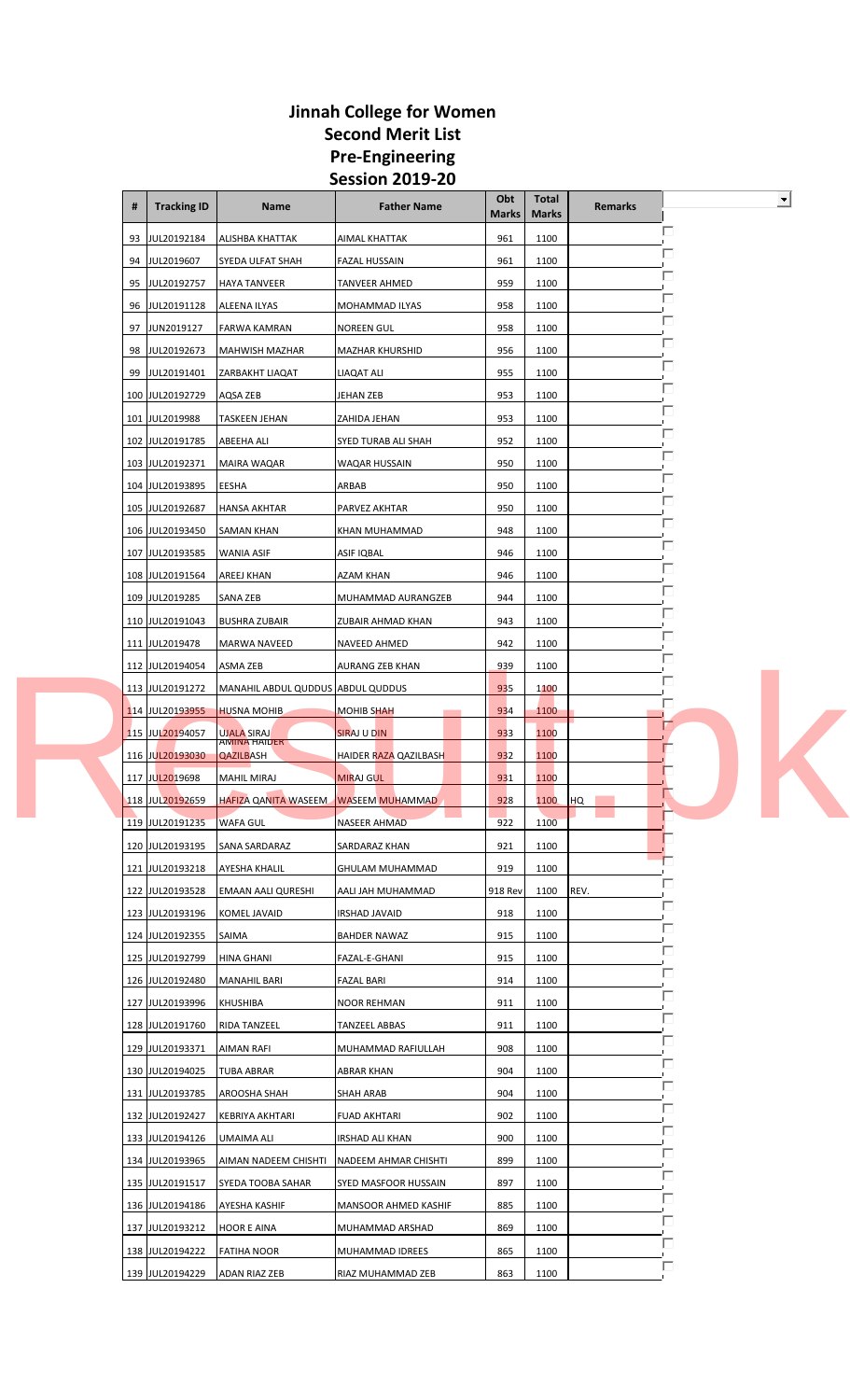|  | #  | <b>Tracking ID</b> | Name                                      | <b>Father Name</b>     | Obt<br><b>Marks</b> | Total<br><b>Marks</b> | <b>Remarks</b> |   | $\overline{\phantom{a}}$ |
|--|----|--------------------|-------------------------------------------|------------------------|---------------------|-----------------------|----------------|---|--------------------------|
|  | 93 | JUL20192184        | ALISHBA KHATTAK                           | AIMAL KHATTAK          | 961                 | 1100                  |                | п |                          |
|  | 94 | JUL2019607         | SYEDA ULFAT SHAH                          | <b>FAZAL HUSSAIN</b>   | 961                 | 1100                  |                |   |                          |
|  |    | 95 JUL20192757     | <b>HAYA TANVEER</b>                       | <b>TANVEER AHMED</b>   | 959                 | 1100                  |                |   |                          |
|  | 96 | JUL20191128        | ALEENA ILYAS                              | MOHAMMAD ILYAS         | 958                 | 1100                  |                |   |                          |
|  | 97 | JUN2019127         | <b>FARWA KAMRAN</b>                       | NOREEN GUL             | 958                 | 1100                  |                |   |                          |
|  | 98 | JUL20192673        | <b>MAHWISH MAZHAR</b>                     | <b>MAZHAR KHURSHID</b> | 956                 | 1100                  |                |   |                          |
|  |    | 99 JUL20191401     | <b>ZARBAKHT LIAQAT</b>                    | LIAQAT ALI             | 955                 | 1100                  |                |   |                          |
|  |    | 100 JUL20192729    | AQSA ZEB                                  | JEHAN ZEB              | 953                 | 1100                  |                |   |                          |
|  |    | 101 JUL2019988     | <b>TASKEEN JEHAN</b>                      | ZAHIDA JEHAN           | 953                 | 1100                  |                |   |                          |
|  |    | 102 JUL20191785    | ABEEHA ALI                                | SYED TURAB ALI SHAH    | 952                 | 1100                  |                |   |                          |
|  |    | 103 JUL20192371    | <b>MAIRA WAQAR</b>                        | WAQAR HUSSAIN          | 950                 | 1100                  |                |   |                          |
|  |    | 104 JUL20193895    | <b>EESHA</b>                              | ARBAB                  | 950                 | 1100                  |                |   |                          |
|  |    | 105 JUL20192687    | <b>HANSA AKHTAR</b>                       | PARVEZ AKHTAR          | 950                 | 1100                  |                |   |                          |
|  |    | 106 JUL20193450    | <b>SAMAN KHAN</b>                         | KHAN MUHAMMAD          | 948                 | 1100                  |                |   |                          |
|  |    | 107 JUL20193585    | <b>WANIA ASIF</b>                         | ASIF IQBAL             | 946                 | 1100                  |                |   |                          |
|  |    | 108 JUL20191564    | <b>AREEJ KHAN</b>                         | AZAM KHAN              | 946                 | 1100                  |                |   |                          |
|  |    | 109 JUL2019285     | SANA ZEB                                  | MUHAMMAD AURANGZEB     | 944                 | 1100                  |                |   |                          |
|  |    | 110 JUL20191043    | <b>BUSHRA ZUBAIR</b>                      | ZUBAIR AHMAD KHAN      | 943                 | 1100                  |                |   |                          |
|  |    | 111 JUL2019478     | MARWA NAVEED                              | NAVEED AHMED           | 942                 | 1100                  |                |   |                          |
|  |    | 112 JUL20194054    | ASMA ZEB                                  | AURANG ZEB KHAN        | 939                 | 1100                  |                |   |                          |
|  |    | 113 JUL20191272    | MANAHIL ABDUL QUDDUS ABDUL QUDDUS         |                        | 935                 | 1100                  |                |   |                          |
|  |    | 114 JUL20193955    | <b>HUSNA MOHIB</b>                        | <b>MOHIB SHAH</b>      | 934                 | 1100                  |                | п |                          |
|  |    | 115 JUL20194057    | <b>UJALA SIRAJ</b><br><b>AMINA HAIDER</b> | SIRAJ U DIN            | 933                 | 1100                  |                |   |                          |
|  |    | 116 JUL20193030    | QAZILBASH                                 | HAIDER RAZA QAZILBASH  | 932                 | 1100                  |                |   |                          |
|  |    | 117 JUL2019698     | <b>MAHIL MIRAJ</b>                        | <b>MIRAJ GUL</b>       | 931                 | 1100                  |                |   |                          |
|  |    | 118 JUL20192659    | HAFIZA QANITA WASEEM WASEEM MUHAMMAD      |                        | 928                 | 1100                  | HQ             |   |                          |
|  |    | 119 JUL20191235    | <b>WAFA GUL</b>                           | NASEER AHMAD           | 922                 | 1100                  |                |   |                          |
|  |    | 120 JUL20193195    | SANA SARDARAZ                             | SARDARAZ KHAN          | 921                 | 1100                  |                |   |                          |
|  |    | 121 JUL20193218    | <b>AYESHA KHALIL</b>                      | GHULAM MUHAMMAD        | 919                 | 1100                  |                |   |                          |
|  |    | 122 JUL20193528    | <b>EMAAN AALI QURESHI</b>                 | AALI JAH MUHAMMAD      | 918 Rev             | 1100                  | REV.           |   |                          |
|  |    | 123 JUL20193196    | KOMEL JAVAID                              | <b>IRSHAD JAVAID</b>   | 918                 | 1100                  |                |   |                          |
|  |    | 124 JUL20192355    | SAIMA                                     | <b>BAHDER NAWAZ</b>    | 915                 | 1100                  |                |   |                          |
|  |    | 125 JUL20192799    | <b>HINA GHANI</b>                         | FAZAL-E-GHANI          | 915                 | 1100                  |                |   |                          |
|  |    | 126 JUL20192480    | <b>MANAHIL BARI</b>                       | <b>FAZAL BARI</b>      | 914                 | 1100                  |                |   |                          |
|  |    | 127 JUL20193996    | <b>KHUSHIBA</b>                           | <b>NOOR REHMAN</b>     | 911                 | 1100                  |                |   |                          |
|  |    | 128 JUL20191760    | RIDA TANZEEL                              | TANZEEL ABBAS          | 911                 | 1100                  |                |   |                          |
|  |    | 129 JUL20193371    | <b>AIMAN RAFI</b>                         | MUHAMMAD RAFIULLAH     | 908                 | 1100                  |                |   |                          |
|  |    | 130 JUL20194025    | <b>TUBA ABRAR</b>                         | <b>ABRAR KHAN</b>      | 904                 | 1100                  |                | ш |                          |
|  |    | 131 JUL20193785    | AROOSHA SHAH                              | <b>SHAH ARAB</b>       | 904                 | 1100                  |                |   |                          |
|  |    | 132 JUL20192427    | <b>KEBRIYA AKHTARI</b>                    | <b>FUAD AKHTARI</b>    | 902                 | 1100                  |                |   |                          |
|  |    | 133 JUL20194126    | UMAIMA ALI                                | IRSHAD ALI KHAN        | 900                 | 1100                  |                | □ |                          |
|  |    | 134 JUL20193965    | AIMAN NADEEM CHISHTI                      | NADEEM AHMAR CHISHTI   | 899                 | 1100                  |                |   |                          |
|  |    | 135 JUL20191517    | SYEDA TOOBA SAHAR                         | SYED MASFOOR HUSSAIN   | 897                 | 1100                  |                |   |                          |
|  |    | 136 JUL20194186    | AYESHA KASHIF                             | MANSOOR AHMED KASHIF   | 885                 | 1100                  |                |   |                          |
|  |    | 137 JUL20193212    | <b>HOOR E AINA</b>                        | MUHAMMAD ARSHAD        | 869                 | 1100                  |                |   |                          |
|  |    | 138 JUL20194222    | <b>FATIHA NOOR</b>                        | MUHAMMAD IDREES        | 865                 | 1100                  |                | п |                          |
|  |    | 139 JUL20194229    | ADAN RIAZ ZEB                             | RIAZ MUHAMMAD ZEB      | 863                 | 1100                  |                |   |                          |